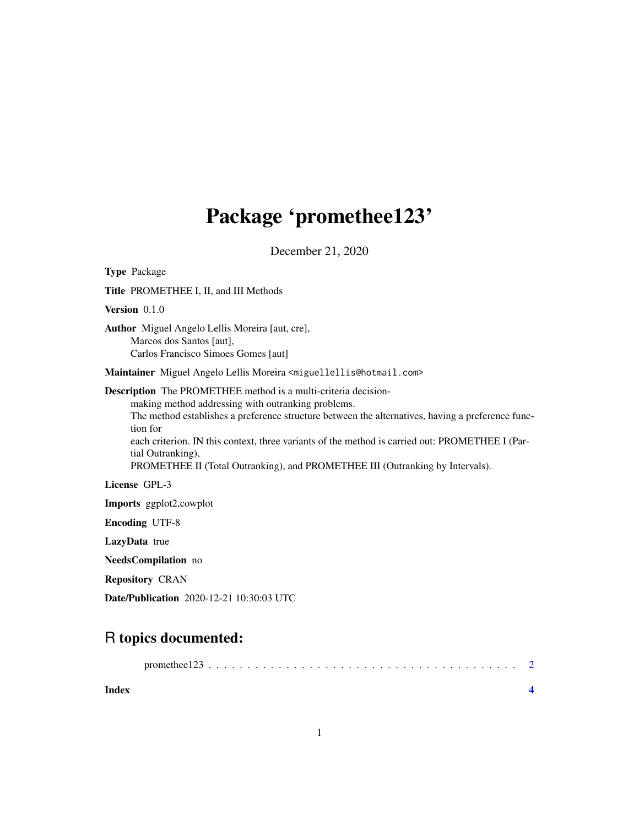## Package 'promethee123'

December 21, 2020

Type Package Title PROMETHEE I, II, and III Methods Version 0.1.0 Author Miguel Angelo Lellis Moreira [aut, cre], Marcos dos Santos [aut], Carlos Francisco Simoes Gomes [aut] Maintainer Miguel Angelo Lellis Moreira <miguellellis@hotmail.com> Description The PROMETHEE method is a multi-criteria decisionmaking method addressing with outranking problems. The method establishes a preference structure between the alternatives, having a preference function for each criterion. IN this context, three variants of the method is carried out: PROMETHEE I (Partial Outranking), PROMETHEE II (Total Outranking), and PROMETHEE III (Outranking by Intervals). License GPL-3 Imports ggplot2,cowplot Encoding UTF-8 LazyData true NeedsCompilation no Repository CRAN Date/Publication 2020-12-21 10:30:03 UTC

### R topics documented:

| Index |  |  |  |  |  |  |  |  |  |  |  |  |  |  |
|-------|--|--|--|--|--|--|--|--|--|--|--|--|--|--|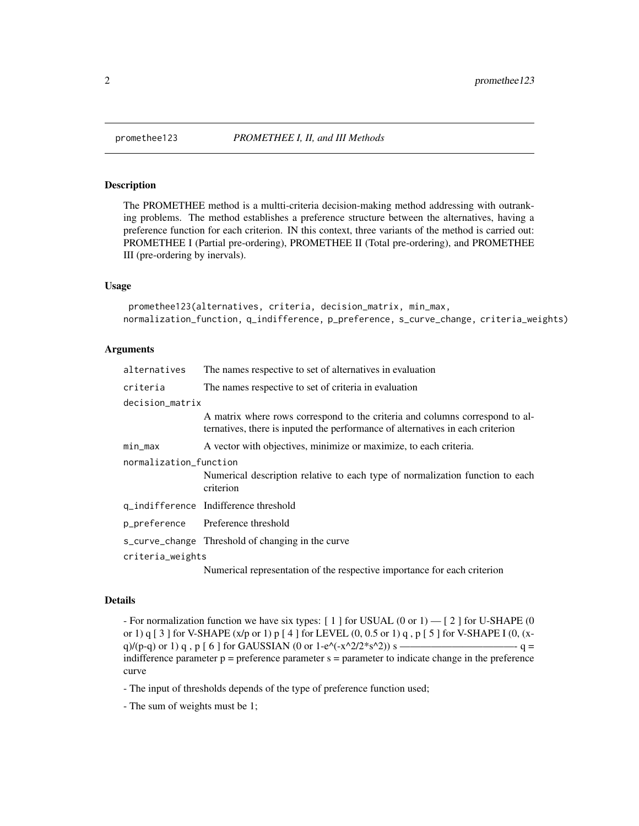#### Description

The PROMETHEE method is a multti-criteria decision-making method addressing with outranking problems. The method establishes a preference structure between the alternatives, having a preference function for each criterion. IN this context, three variants of the method is carried out: PROMETHEE I (Partial pre-ordering), PROMETHEE II (Total pre-ordering), and PROMETHEE III (pre-ordering by inervals).

#### Usage

```
promethee123(alternatives, criteria, decision_matrix, min_max,
normalization_function, q_indifference, p_preference, s_curve_change, criteria_weights)
```
#### Arguments

| alternatives           | The names respective to set of alternatives in evaluation                                                                                                      |  |  |  |  |  |  |  |  |
|------------------------|----------------------------------------------------------------------------------------------------------------------------------------------------------------|--|--|--|--|--|--|--|--|
| criteria               | The names respective to set of criteria in evaluation                                                                                                          |  |  |  |  |  |  |  |  |
| decision_matrix        |                                                                                                                                                                |  |  |  |  |  |  |  |  |
|                        | A matrix where rows correspond to the criteria and columns correspond to al-<br>ternatives, there is inputed the performance of alternatives in each criterion |  |  |  |  |  |  |  |  |
| min_max                | A vector with objectives, minimize or maximize, to each criteria.                                                                                              |  |  |  |  |  |  |  |  |
| normalization_function |                                                                                                                                                                |  |  |  |  |  |  |  |  |
|                        | Numerical description relative to each type of normalization function to each<br>criterion                                                                     |  |  |  |  |  |  |  |  |
|                        | q_indifference Indifference threshold                                                                                                                          |  |  |  |  |  |  |  |  |
|                        | p_preference Preference threshold                                                                                                                              |  |  |  |  |  |  |  |  |
|                        | s_curve_change Threshold of changing in the curve                                                                                                              |  |  |  |  |  |  |  |  |
| criteria_weights       |                                                                                                                                                                |  |  |  |  |  |  |  |  |
|                        | Numerical representation of the respective importance for each criterion                                                                                       |  |  |  |  |  |  |  |  |

#### Details

- For normalization function we have six types: [ 1 ] for USUAL (0 or 1) — [ 2 ] for U-SHAPE (0 or 1) q [ 3 ] for V-SHAPE (x/p or 1) p [ 4 ] for LEVEL (0, 0.5 or 1) q , p [ 5 ] for V-SHAPE I (0, (xq)/(p-q) or 1) q , p [ 6 ] for GAUSSIAN (0 or 1-e^(-x^2/2\*s^2)) s ———————————- q = indifference parameter  $p =$  preference parameter  $s =$  parameter to indicate change in the preference curve

- The input of thresholds depends of the type of preference function used;

- The sum of weights must be 1;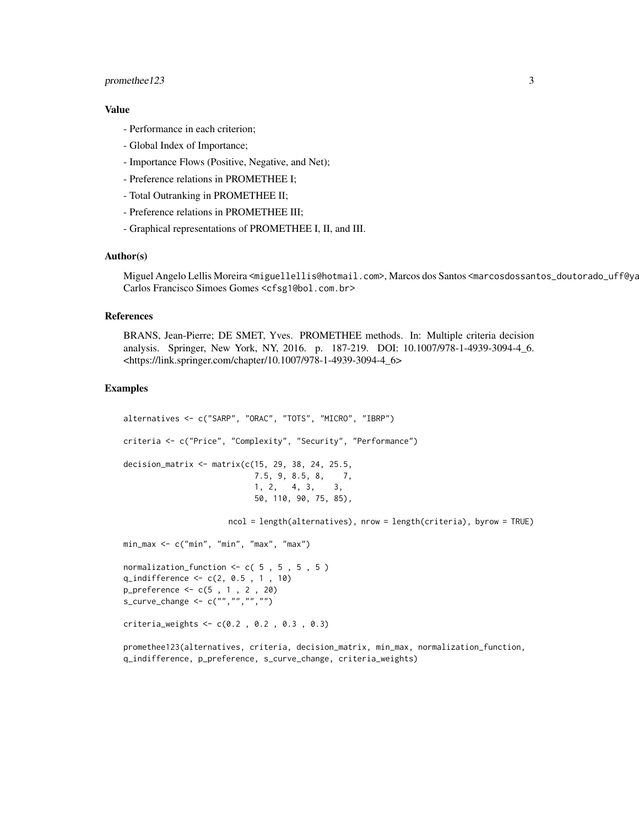#### promethee123 3

#### Value

- Performance in each criterion;
- Global Index of Importance;
- Importance Flows (Positive, Negative, and Net);
- Preference relations in PROMETHEE I;
- Total Outranking in PROMETHEE II;
- Preference relations in PROMETHEE III;
- Graphical representations of PROMETHEE I, II, and III.

#### Author(s)

Miguel Angelo Lellis Moreira <miguellellis@hotmail.com>, Marcos dos Santos <marcosdossantos\_doutorado\_uff@ya Carlos Francisco Simoes Gomes <cfsg1@bol.com.br>

#### References

BRANS, Jean-Pierre; DE SMET, Yves. PROMETHEE methods. In: Multiple criteria decision analysis. Springer, New York, NY, 2016. p. 187-219. DOI: 10.1007/978-1-4939-3094-4\_6. <https://link.springer.com/chapter/10.1007/978-1-4939-3094-4\_6>

#### Examples

```
alternatives <- c("SARP", "ORAC", "TOTS", "MICRO", "IBRP")
criteria <- c("Price", "Complexity", "Security", "Performance")
decision_matrix <- matrix(c(15, 29, 38, 24, 25.5,
                           7.5, 9, 8.5, 8, 7,
                            1, 2, 4, 3, 3,
                            50, 110, 90, 75, 85),
                      ncol = length(alternatives), nrow = length(criteria), byrow = TRUE)
min_max <- c("min", "min", "max", "max")
normalization_function <- c( 5 , 5 , 5 , 5 )
q_indifference <- c(2, 0.5 , 1 , 10)
p_preference <- c(5 , 1 , 2 , 20)
s_curve_change <- c("","","","")
criteria_weights <- c(0.2 , 0.2 , 0.3 , 0.3)
```
promethee123(alternatives, criteria, decision\_matrix, min\_max, normalization\_function, q\_indifference, p\_preference, s\_curve\_change, criteria\_weights)